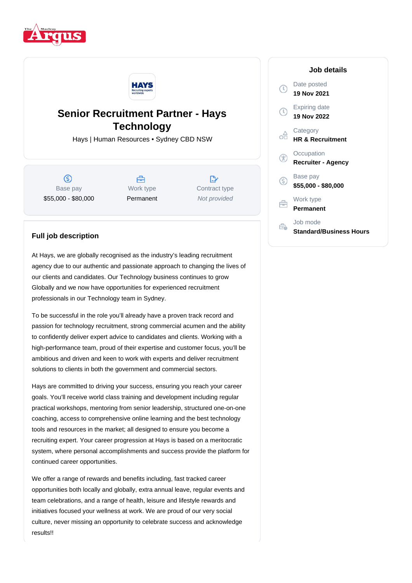



## **Senior Recruitment Partner - Hays Technology**

Hays | Human Resources • Sydney CBD NSW

 $\circledS$ Base pay \$55,000 - \$80,000

Å Work type Permanent

 $\mathbb{R}^n$ Contract type Not provided

## **Job details**

|    | Date posted<br>19 Nov 2021              |
|----|-----------------------------------------|
|    | Expiring date<br>19 Nov 2022            |
|    | Category<br><b>HR &amp; Recruitment</b> |
|    | Occupation<br><b>Recruiter - Agency</b> |
| G) | Base pay<br>\$55,000 - \$80,000         |
| â  | Work type<br>Permanent                  |
|    | Job mode<br>Standard/Business Hours     |

## **Full job description**

At Hays, we are globally recognised as the industry's leading recruitment agency due to our authentic and passionate approach to changing the lives of our clients and candidates. Our Technology business continues to grow Globally and we now have opportunities for experienced recruitment professionals in our Technology team in Sydney.

To be successful in the role you'll already have a proven track record and passion for technology recruitment, strong commercial acumen and the ability to confidently deliver expert advice to candidates and clients. Working with a high-performance team, proud of their expertise and customer focus, you'll be ambitious and driven and keen to work with experts and deliver recruitment solutions to clients in both the government and commercial sectors.

Hays are committed to driving your success, ensuring you reach your career goals. You'll receive world class training and development including regular practical workshops, mentoring from senior leadership, structured one-on-one coaching, access to comprehensive online learning and the best technology tools and resources in the market; all designed to ensure you become a recruiting expert. Your career progression at Hays is based on a meritocratic system, where personal accomplishments and success provide the platform for continued career opportunities.

We offer a range of rewards and benefits including, fast tracked career opportunities both locally and globally, extra annual leave, regular events and team celebrations, and a range of health, leisure and lifestyle rewards and initiatives focused your wellness at work. We are proud of our very social culture, never missing an opportunity to celebrate success and acknowledge results!!